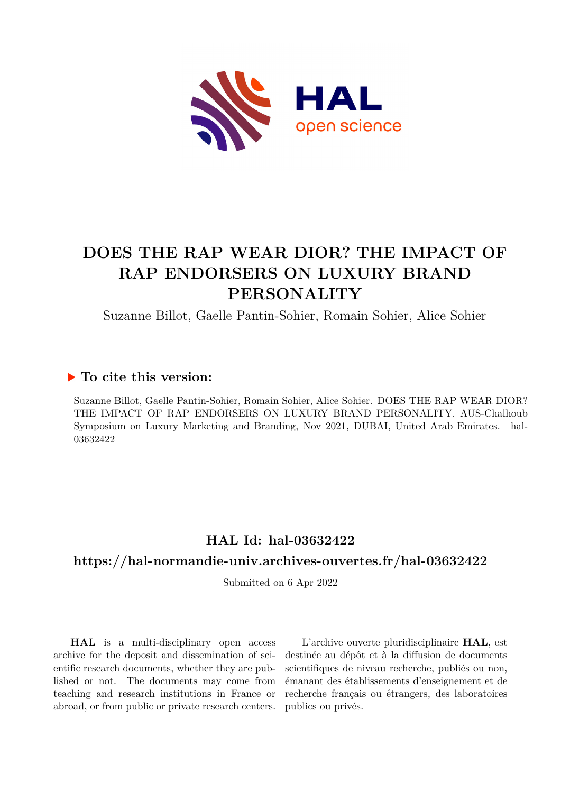

# **DOES THE RAP WEAR DIOR? THE IMPACT OF RAP ENDORSERS ON LUXURY BRAND PERSONALITY**

Suzanne Billot, Gaelle Pantin-Sohier, Romain Sohier, Alice Sohier

## **To cite this version:**

Suzanne Billot, Gaelle Pantin-Sohier, Romain Sohier, Alice Sohier. DOES THE RAP WEAR DIOR? THE IMPACT OF RAP ENDORSERS ON LUXURY BRAND PERSONALITY. AUS-Chalhoub Symposium on Luxury Marketing and Branding, Nov 2021, DUBAI, United Arab Emirates. hal-03632422

## **HAL Id: hal-03632422**

## **<https://hal-normandie-univ.archives-ouvertes.fr/hal-03632422>**

Submitted on 6 Apr 2022

**HAL** is a multi-disciplinary open access archive for the deposit and dissemination of scientific research documents, whether they are published or not. The documents may come from teaching and research institutions in France or abroad, or from public or private research centers.

L'archive ouverte pluridisciplinaire **HAL**, est destinée au dépôt et à la diffusion de documents scientifiques de niveau recherche, publiés ou non, émanant des établissements d'enseignement et de recherche français ou étrangers, des laboratoires publics ou privés.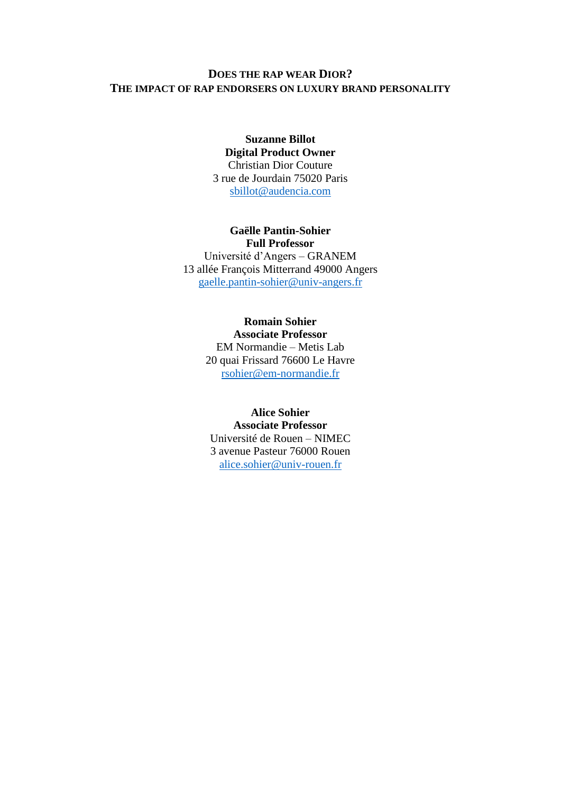#### **DOES THE RAP WEAR DIOR? THE IMPACT OF RAP ENDORSERS ON LUXURY BRAND PERSONALITY**

#### **Suzanne Billot Digital Product Owner**  Christian Dior Couture 3 rue de Jourdain 75020 Paris [sbillot@audencia.com](mailto:sbillot@audencia.com)

#### **Gaëlle Pantin-Sohier**

**Full Professor** Université d'Angers – GRANEM 13 allée François Mitterrand 49000 Angers [gaelle.pantin-sohier@univ-angers.fr](mailto:gaelle.pantin-sohier@univ-angers.fr)

#### **Romain Sohier**

**Associate Professor** EM Normandie – Metis Lab 20 quai Frissard 76600 Le Havre [rsohier@em-normandie.fr](mailto:rsohier@em-normandie.fr)

#### **Alice Sohier**

**Associate Professor** Université de Rouen – NIMEC 3 avenue Pasteur 76000 Rouen [alice.sohier@univ-rouen.fr](mailto:alice.sohier@univ-rouen.fr)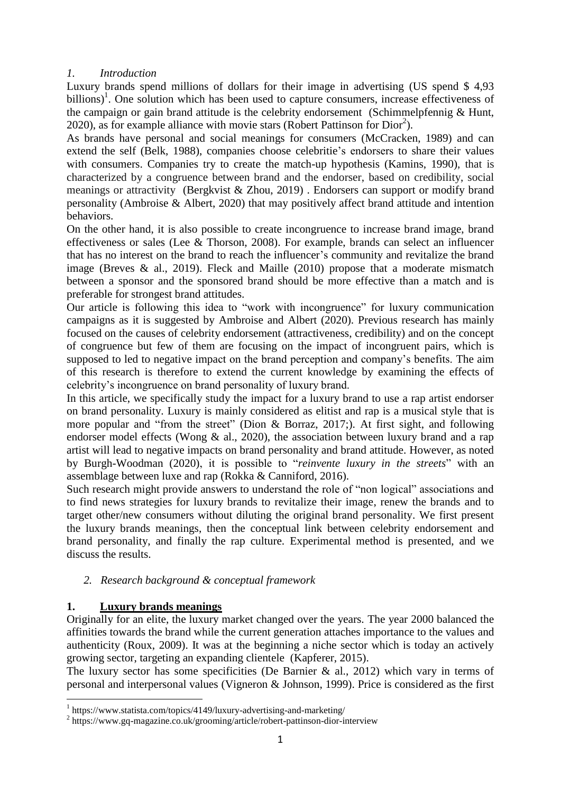#### *1. Introduction*

Luxury brands spend millions of dollars for their image in advertising (US spend \$ 4,93 billions)<sup>1</sup>. One solution which has been used to capture consumers, increase effectiveness of the campaign or gain brand attitude is the celebrity endorsement (Schimmelpfennig & Hunt, 2020), as for example alliance with movie stars (Robert Pattinson for  $Dior<sup>2</sup>$ ).

As brands have personal and social meanings for consumers (McCracken, 1989) and can extend the self (Belk, 1988), companies choose celebritie's endorsers to share their values with consumers. Companies try to create the match-up hypothesis (Kamins, 1990), that is characterized by a congruence between brand and the endorser, based on credibility, social meanings or attractivity (Bergkvist & Zhou, 2019) . Endorsers can support or modify brand personality (Ambroise & Albert, 2020) that may positively affect brand attitude and intention behaviors.

On the other hand, it is also possible to create incongruence to increase brand image, brand effectiveness or sales (Lee & Thorson, 2008). For example, brands can select an influencer that has no interest on the brand to reach the influencer's community and revitalize the brand image (Breves  $\&$  al., 2019). Fleck and Maille (2010) propose that a moderate mismatch between a sponsor and the sponsored brand should be more effective than a match and is preferable for strongest brand attitudes.

Our article is following this idea to "work with incongruence" for luxury communication campaigns as it is suggested by Ambroise and Albert (2020). Previous research has mainly focused on the causes of celebrity endorsement (attractiveness, credibility) and on the concept of congruence but few of them are focusing on the impact of incongruent pairs, which is supposed to led to negative impact on the brand perception and company's benefits. The aim of this research is therefore to extend the current knowledge by examining the effects of celebrity's incongruence on brand personality of luxury brand.

In this article, we specifically study the impact for a luxury brand to use a rap artist endorser on brand personality. Luxury is mainly considered as elitist and rap is a musical style that is more popular and "from the street" (Dion & Borraz, 2017;). At first sight, and following endorser model effects (Wong & al., 2020), the association between luxury brand and a rap artist will lead to negative impacts on brand personality and brand attitude. However, as noted by Burgh-Woodman (2020), it is possible to "*reinvente luxury in the streets*" with an assemblage between luxe and rap (Rokka & Canniford, 2016).

Such research might provide answers to understand the role of "non logical" associations and to find news strategies for luxury brands to revitalize their image, renew the brands and to target other/new consumers without diluting the original brand personality. We first present the luxury brands meanings, then the conceptual link between celebrity endorsement and brand personality, and finally the rap culture. Experimental method is presented, and we discuss the results.

#### *2. Research background & conceptual framework*

#### **1. Luxury brands meanings**

.

Originally for an elite, the luxury market changed over the years. The year 2000 balanced the affinities towards the brand while the current generation attaches importance to the values and authenticity (Roux, 2009). It was at the beginning a niche sector which is today an actively growing sector, targeting an expanding clientele (Kapferer, 2015).

The luxury sector has some specificities (De Barnier & al., 2012) which vary in terms of personal and interpersonal values (Vigneron & Johnson, 1999). Price is considered as the first

<sup>&</sup>lt;sup>1</sup> https://www.statista.com/topics/4149/luxury-advertising-and-marketing/

<sup>&</sup>lt;sup>2</sup> https://www.gq-magazine.co.uk/grooming/article/robert-pattinson-dior-interview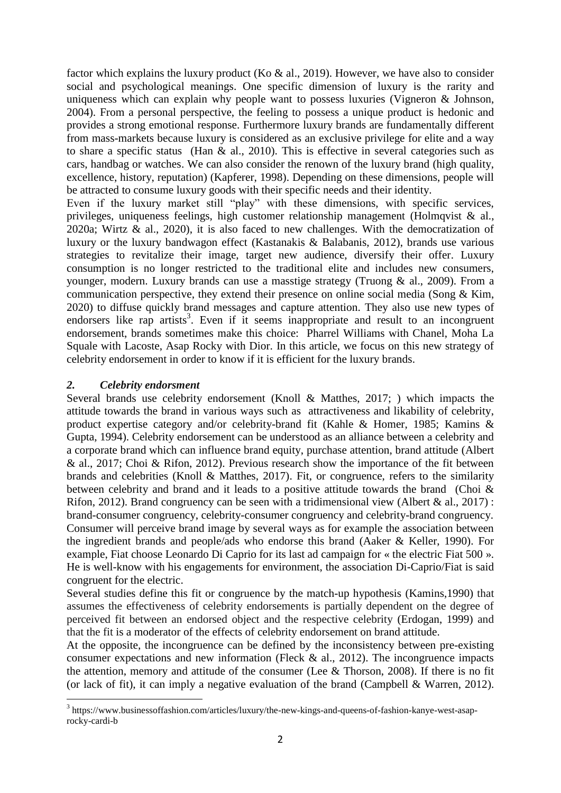factor which explains the luxury product (Ko  $\&$  al., 2019). However, we have also to consider social and psychological meanings. One specific dimension of luxury is the rarity and uniqueness which can explain why people want to possess luxuries (Vigneron & Johnson, 2004). From a personal perspective, the feeling to possess a unique product is hedonic and provides a strong emotional response. Furthermore luxury brands are fundamentally different from mass-markets because luxury is considered as an exclusive privilege for elite and a way to share a specific status (Han  $\&$  al., 2010). This is effective in several categories such as cars, handbag or watches. We can also consider the renown of the luxury brand (high quality, excellence, history, reputation) (Kapferer, 1998). Depending on these dimensions, people will be attracted to consume luxury goods with their specific needs and their identity.

Even if the luxury market still "play" with these dimensions, with specific services, privileges, uniqueness feelings, high customer relationship management (Holmqvist & al., 2020a; Wirtz & al., 2020), it is also faced to new challenges. With the democratization of luxury or the luxury bandwagon effect (Kastanakis & Balabanis, 2012), brands use various strategies to revitalize their image, target new audience, diversify their offer. Luxury consumption is no longer restricted to the traditional elite and includes new consumers, younger, modern. Luxury brands can use a masstige strategy (Truong & al., 2009). From a communication perspective, they extend their presence on online social media (Song & Kim, 2020) to diffuse quickly brand messages and capture attention. They also use new types of endorsers like rap artists<sup>3</sup>. Even if it seems inappropriate and result to an incongruent endorsement, brands sometimes make this choice: Pharrel Williams with Chanel, Moha La Squale with Lacoste, Asap Rocky with Dior. In this article, we focus on this new strategy of celebrity endorsement in order to know if it is efficient for the luxury brands.

#### *2. Celebrity endorsment*

.

Several brands use celebrity endorsement (Knoll & Matthes, 2017; ) which impacts the attitude towards the brand in various ways such as attractiveness and likability of celebrity, product expertise category and/or celebrity-brand fit (Kahle & Homer, 1985; Kamins & Gupta, 1994). Celebrity endorsement can be understood as an alliance between a celebrity and a corporate brand which can influence brand equity, purchase attention, brand attitude (Albert & al., 2017; Choi & Rifon, 2012). Previous research show the importance of the fit between brands and celebrities (Knoll & Matthes, 2017). Fit, or congruence, refers to the similarity between celebrity and brand and it leads to a positive attitude towards the brand (Choi & Rifon, 2012). Brand congruency can be seen with a tridimensional view (Albert & al., 2017) : brand-consumer congruency, celebrity-consumer congruency and celebrity-brand congruency. Consumer will perceive brand image by several ways as for example the association between the ingredient brands and people/ads who endorse this brand (Aaker & Keller, 1990). For example, Fiat choose Leonardo Di Caprio for its last ad campaign for « the electric Fiat 500 ». He is well-know with his engagements for environment, the association Di-Caprio/Fiat is said congruent for the electric.

Several studies define this fit or congruence by the match-up hypothesis (Kamins,1990) that assumes the effectiveness of celebrity endorsements is partially dependent on the degree of perceived fit between an endorsed object and the respective celebrity (Erdogan, 1999) and that the fit is a moderator of the effects of celebrity endorsement on brand attitude.

At the opposite, the incongruence can be defined by the inconsistency between pre-existing consumer expectations and new information (Fleck  $\&$  al., 2012). The incongruence impacts the attention, memory and attitude of the consumer (Lee  $&$  Thorson, 2008). If there is no fit (or lack of fit), it can imply a negative evaluation of the brand (Campbell & Warren, 2012).

<sup>&</sup>lt;sup>3</sup> https://www.businessoffashion.com/articles/luxury/the-new-kings-and-queens-of-fashion-kanye-west-asaprocky-cardi-b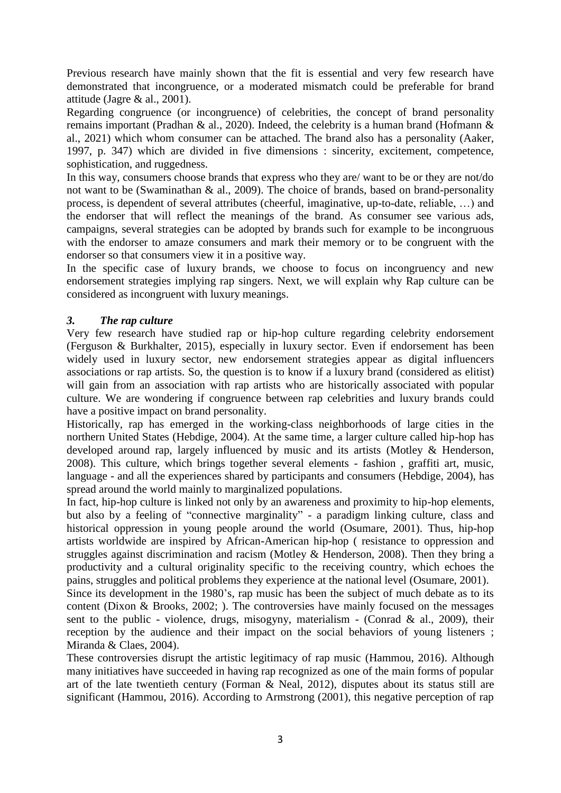Previous research have mainly shown that the fit is essential and very few research have demonstrated that incongruence, or a moderated mismatch could be preferable for brand attitude (Jagre & al., 2001).

Regarding congruence (or incongruence) of celebrities, the concept of brand personality remains important (Pradhan & al., 2020). Indeed, the celebrity is a human brand (Hofmann & al., 2021) which whom consumer can be attached. The brand also has a personality (Aaker, 1997, p. 347) which are divided in five dimensions : sincerity, excitement, competence, sophistication, and ruggedness.

In this way, consumers choose brands that express who they are/ want to be or they are not/do not want to be (Swaminathan & al., 2009). The choice of brands, based on brand-personality process, is dependent of several attributes (cheerful, imaginative, up-to-date, reliable, …) and the endorser that will reflect the meanings of the brand. As consumer see various ads, campaigns, several strategies can be adopted by brands such for example to be incongruous with the endorser to amaze consumers and mark their memory or to be congruent with the endorser so that consumers view it in a positive way.

In the specific case of luxury brands, we choose to focus on incongruency and new endorsement strategies implying rap singers. Next, we will explain why Rap culture can be considered as incongruent with luxury meanings.

#### *3. The rap culture*

Very few research have studied rap or hip-hop culture regarding celebrity endorsement (Ferguson & Burkhalter, 2015), especially in luxury sector. Even if endorsement has been widely used in luxury sector, new endorsement strategies appear as digital influencers associations or rap artists. So, the question is to know if a luxury brand (considered as elitist) will gain from an association with rap artists who are historically associated with popular culture. We are wondering if congruence between rap celebrities and luxury brands could have a positive impact on brand personality.

Historically, rap has emerged in the working-class neighborhoods of large cities in the northern United States (Hebdige, 2004). At the same time, a larger culture called hip-hop has developed around rap, largely influenced by music and its artists (Motley & Henderson, 2008). This culture, which brings together several elements - fashion , graffiti art, music, language - and all the experiences shared by participants and consumers (Hebdige, 2004), has spread around the world mainly to marginalized populations.

In fact, hip-hop culture is linked not only by an awareness and proximity to hip-hop elements, but also by a feeling of "connective marginality" - a paradigm linking culture, class and historical oppression in young people around the world (Osumare, 2001). Thus, hip-hop artists worldwide are inspired by African-American hip-hop ( resistance to oppression and struggles against discrimination and racism (Motley & Henderson, 2008). Then they bring a productivity and a cultural originality specific to the receiving country, which echoes the pains, struggles and political problems they experience at the national level (Osumare, 2001).

Since its development in the 1980's, rap music has been the subject of much debate as to its content (Dixon & Brooks, 2002; ). The controversies have mainly focused on the messages sent to the public - violence, drugs, misogyny, materialism - (Conrad & al., 2009), their reception by the audience and their impact on the social behaviors of young listeners ; Miranda & Claes, 2004).

These controversies disrupt the artistic legitimacy of rap music (Hammou, 2016). Although many initiatives have succeeded in having rap recognized as one of the main forms of popular art of the late twentieth century (Forman & Neal, 2012), disputes about its status still are significant (Hammou, 2016). According to Armstrong (2001), this negative perception of rap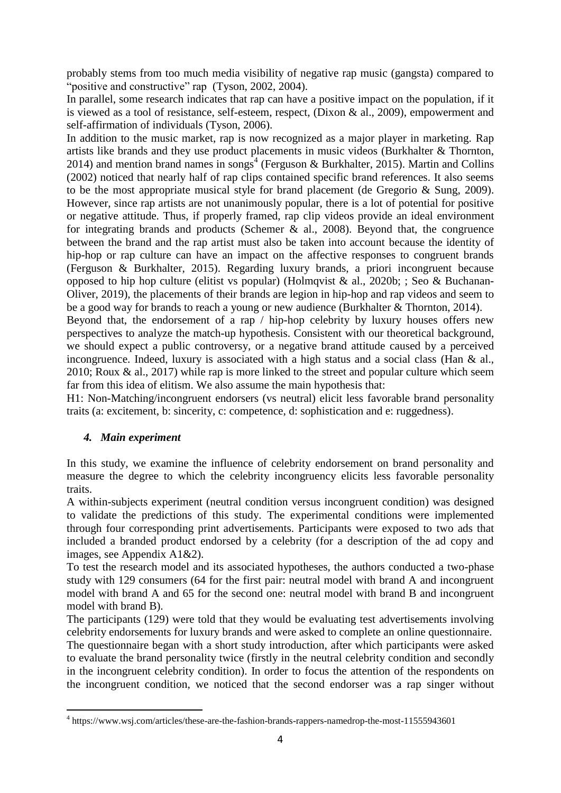probably stems from too much media visibility of negative rap music (gangsta) compared to "positive and constructive" rap (Tyson, 2002, 2004).

In parallel, some research indicates that rap can have a positive impact on the population, if it is viewed as a tool of resistance, self-esteem, respect, (Dixon & al., 2009), empowerment and self-affirmation of individuals (Tyson, 2006).

In addition to the music market, rap is now recognized as a major player in marketing. Rap artists like brands and they use product placements in music videos (Burkhalter & Thornton, 2014) and mention brand names in songs<sup>4</sup> (Ferguson & Burkhalter, 2015). Martin and Collins (2002) noticed that nearly half of rap clips contained specific brand references. It also seems to be the most appropriate musical style for brand placement (de Gregorio & Sung, 2009). However, since rap artists are not unanimously popular, there is a lot of potential for positive or negative attitude. Thus, if properly framed, rap clip videos provide an ideal environment for integrating brands and products (Schemer  $\&$  al., 2008). Beyond that, the congruence between the brand and the rap artist must also be taken into account because the identity of hip-hop or rap culture can have an impact on the affective responses to congruent brands (Ferguson & Burkhalter, 2015). Regarding luxury brands, a priori incongruent because opposed to hip hop culture (elitist vs popular) (Holmqvist & al., 2020b; ; Seo & Buchanan-Oliver, 2019), the placements of their brands are legion in hip-hop and rap videos and seem to be a good way for brands to reach a young or new audience (Burkhalter & Thornton, 2014).

Beyond that, the endorsement of a rap / hip-hop celebrity by luxury houses offers new perspectives to analyze the match-up hypothesis. Consistent with our theoretical background, we should expect a public controversy, or a negative brand attitude caused by a perceived incongruence. Indeed, luxury is associated with a high status and a social class (Han & al., 2010; Roux & al., 2017) while rap is more linked to the street and popular culture which seem far from this idea of elitism. We also assume the main hypothesis that:

H1: Non-Matching/incongruent endorsers (vs neutral) elicit less favorable brand personality traits (a: excitement, b: sincerity, c: competence, d: sophistication and e: ruggedness).

#### *4. Main experiment*

In this study, we examine the influence of celebrity endorsement on brand personality and measure the degree to which the celebrity incongruency elicits less favorable personality traits.

A within-subjects experiment (neutral condition versus incongruent condition) was designed to validate the predictions of this study. The experimental conditions were implemented through four corresponding print advertisements. Participants were exposed to two ads that included a branded product endorsed by a celebrity (for a description of the ad copy and images, see Appendix A1&2).

To test the research model and its associated hypotheses, the authors conducted a two-phase study with 129 consumers (64 for the first pair: neutral model with brand A and incongruent model with brand A and 65 for the second one: neutral model with brand B and incongruent model with brand B).

The participants (129) were told that they would be evaluating test advertisements involving celebrity endorsements for luxury brands and were asked to complete an online questionnaire.

The questionnaire began with a short study introduction, after which participants were asked to evaluate the brand personality twice (firstly in the neutral celebrity condition and secondly in the incongruent celebrity condition). In order to focus the attention of the respondents on the incongruent condition, we noticed that the second endorser was a rap singer without

 4 https://www.wsj.com/articles/these-are-the-fashion-brands-rappers-namedrop-the-most-11555943601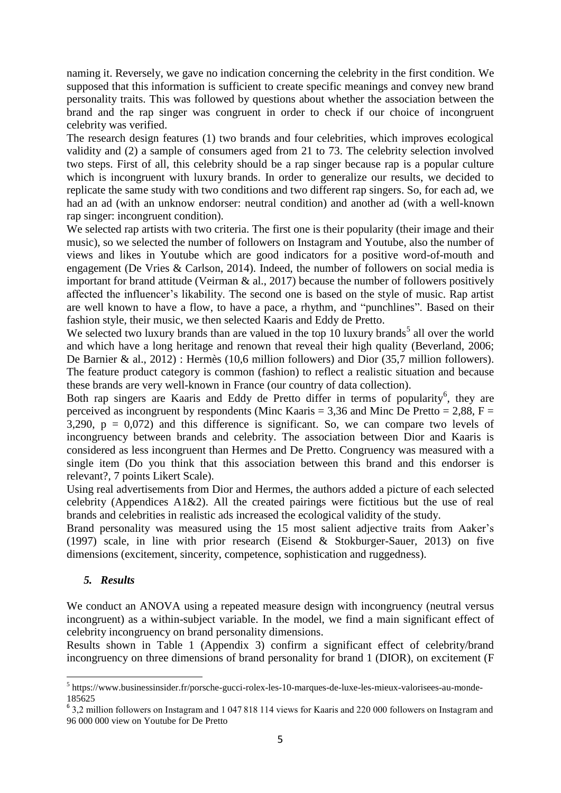naming it. Reversely, we gave no indication concerning the celebrity in the first condition. We supposed that this information is sufficient to create specific meanings and convey new brand personality traits. This was followed by questions about whether the association between the brand and the rap singer was congruent in order to check if our choice of incongruent celebrity was verified.

The research design features (1) two brands and four celebrities, which improves ecological validity and (2) a sample of consumers aged from 21 to 73. The celebrity selection involved two steps. First of all, this celebrity should be a rap singer because rap is a popular culture which is incongruent with luxury brands. In order to generalize our results, we decided to replicate the same study with two conditions and two different rap singers. So, for each ad, we had an ad (with an unknow endorser: neutral condition) and another ad (with a well-known rap singer: incongruent condition).

We selected rap artists with two criteria. The first one is their popularity (their image and their music), so we selected the number of followers on Instagram and Youtube, also the number of views and likes in Youtube which are good indicators for a positive word-of-mouth and engagement (De Vries & Carlson, 2014). Indeed, the number of followers on social media is important for brand attitude (Veirman  $\&$  al., 2017) because the number of followers positively affected the influencer's likability. The second one is based on the style of music. Rap artist are well known to have a flow, to have a pace, a rhythm, and "punchlines". Based on their fashion style, their music, we then selected Kaaris and Eddy de Pretto.

We selected two luxury brands than are valued in the top 10 luxury brands<sup>5</sup> all over the world and which have a long heritage and renown that reveal their high quality (Beverland, 2006; De Barnier & al., 2012) : Hermès (10,6 million followers) and Dior (35,7 million followers). The feature product category is common (fashion) to reflect a realistic situation and because these brands are very well-known in France (our country of data collection).

Both rap singers are Kaaris and Eddy de Pretto differ in terms of popularity<sup>6</sup>, they are perceived as incongruent by respondents (Minc Kaaris = 3,36 and Minc De Pretto = 2,88,  $F =$ 3,290,  $p = 0.072$ ) and this difference is significant. So, we can compare two levels of incongruency between brands and celebrity. The association between Dior and Kaaris is considered as less incongruent than Hermes and De Pretto. Congruency was measured with a single item (Do you think that this association between this brand and this endorser is relevant?, 7 points Likert Scale).

Using real advertisements from Dior and Hermes, the authors added a picture of each selected celebrity (Appendices A1&2). All the created pairings were fictitious but the use of real brands and celebrities in realistic ads increased the ecological validity of the study.

Brand personality was measured using the 15 most salient adjective traits from Aaker's (1997) scale, in line with prior research (Eisend & Stokburger-Sauer, 2013) on five dimensions (excitement, sincerity, competence, sophistication and ruggedness).

#### *5. Results*

We conduct an ANOVA using a repeated measure design with incongruency (neutral versus incongruent) as a within-subject variable. In the model, we find a main significant effect of celebrity incongruency on brand personality dimensions.

Results shown in Table 1 (Appendix 3) confirm a significant effect of celebrity/brand incongruency on three dimensions of brand personality for brand 1 (DIOR), on excitement (F

 5 https://www.businessinsider.fr/porsche-gucci-rolex-les-10-marques-de-luxe-les-mieux-valorisees-au-monde-185625

<sup>6</sup> 3,2 million followers on Instagram and 1 047 818 114 views for Kaaris and 220 000 followers on Instagram and 96 000 000 view on Youtube for De Pretto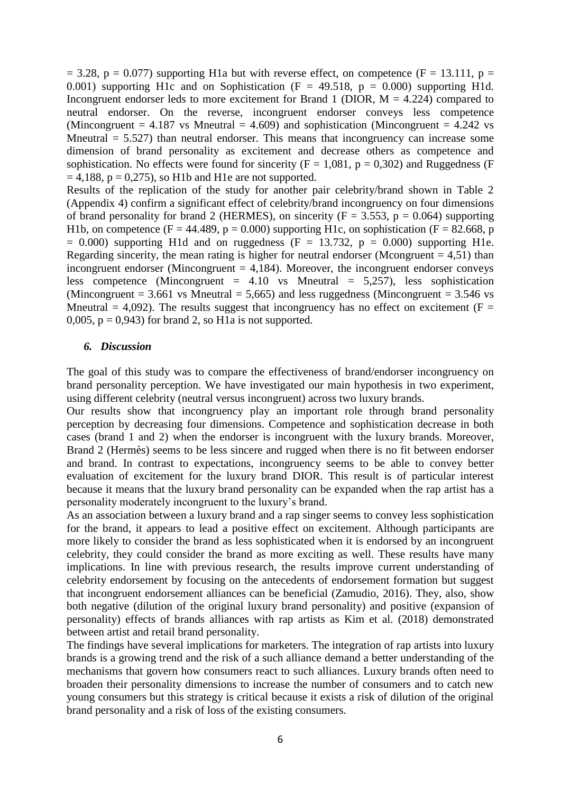$= 3.28$ , p = 0.077) supporting H1a but with reverse effect, on competence (F = 13.111, p = 0.001) supporting H1c and on Sophistication ( $F = 49.518$ ,  $p = 0.000$ ) supporting H1d. Incongruent endorser leds to more excitement for Brand 1 (DIOR,  $M = 4.224$ ) compared to neutral endorser. On the reverse, incongruent endorser conveys less competence (Mincongruent =  $4.187$  vs Mneutral =  $4.609$ ) and sophistication (Mincongruent =  $4.242$  vs Mneutral  $= 5.527$ ) than neutral endorser. This means that incongruency can increase some dimension of brand personality as excitement and decrease others as competence and sophistication. No effects were found for sincerity ( $F = 1,081$ ,  $p = 0,302$ ) and Ruggedness (F  $= 4,188$ ,  $p = 0,275$ , so H1b and H1e are not supported.

Results of the replication of the study for another pair celebrity/brand shown in Table 2 (Appendix 4) confirm a significant effect of celebrity/brand incongruency on four dimensions of brand personality for brand 2 (HERMES), on sincerity ( $F = 3.553$ ,  $p = 0.064$ ) supporting H1b, on competence (F = 44.489, p = 0.000) supporting H1c, on sophistication (F = 82.668, p  $= 0.000$ ) supporting H1d and on ruggedness (F = 13.732, p = 0.000) supporting H1e. Regarding sincerity, the mean rating is higher for neutral endorser (Mcongruent  $= 4.51$ ) than incongruent endorser (Mincongruent  $= 4,184$ ). Moreover, the incongruent endorser conveys less competence (Mincongruent =  $4.10$  vs Mneutral = 5,257), less sophistication (Mincongruent = 3.661 vs Mneutral = 5,665) and less ruggedness (Mincongruent = 3.546 vs Mneutral = 4,092). The results suggest that incongruency has no effect on excitement ( $F =$ 0,005,  $p = 0.943$  for brand 2, so H1a is not supported.

#### *6. Discussion*

The goal of this study was to compare the effectiveness of brand/endorser incongruency on brand personality perception. We have investigated our main hypothesis in two experiment, using different celebrity (neutral versus incongruent) across two luxury brands.

Our results show that incongruency play an important role through brand personality perception by decreasing four dimensions. Competence and sophistication decrease in both cases (brand 1 and 2) when the endorser is incongruent with the luxury brands. Moreover, Brand 2 (Hermès) seems to be less sincere and rugged when there is no fit between endorser and brand. In contrast to expectations, incongruency seems to be able to convey better evaluation of excitement for the luxury brand DIOR. This result is of particular interest because it means that the luxury brand personality can be expanded when the rap artist has a personality moderately incongruent to the luxury's brand.

As an association between a luxury brand and a rap singer seems to convey less sophistication for the brand, it appears to lead a positive effect on excitement. Although participants are more likely to consider the brand as less sophisticated when it is endorsed by an incongruent celebrity, they could consider the brand as more exciting as well. These results have many implications. In line with previous research, the results improve current understanding of celebrity endorsement by focusing on the antecedents of endorsement formation but suggest that incongruent endorsement alliances can be beneficial (Zamudio, 2016). They, also, show both negative (dilution of the original luxury brand personality) and positive (expansion of personality) effects of brands alliances with rap artists as Kim et al. (2018) demonstrated between artist and retail brand personality.

The findings have several implications for marketers. The integration of rap artists into luxury brands is a growing trend and the risk of a such alliance demand a better understanding of the mechanisms that govern how consumers react to such alliances. Luxury brands often need to broaden their personality dimensions to increase the number of consumers and to catch new young consumers but this strategy is critical because it exists a risk of dilution of the original brand personality and a risk of loss of the existing consumers.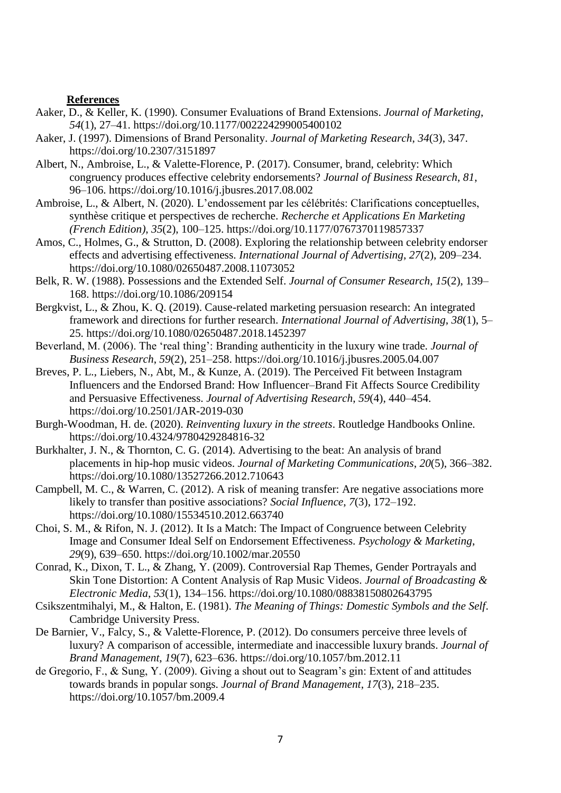#### **References**

- Aaker, D., & Keller, K. (1990). Consumer Evaluations of Brand Extensions. *Journal of Marketing*, *54*(1), 27–41. https://doi.org/10.1177/002224299005400102
- Aaker, J. (1997). Dimensions of Brand Personality. *Journal of Marketing Research*, *34*(3), 347. https://doi.org/10.2307/3151897
- Albert, N., Ambroise, L., & Valette-Florence, P. (2017). Consumer, brand, celebrity: Which congruency produces effective celebrity endorsements? *Journal of Business Research*, *81*, 96–106. https://doi.org/10.1016/j.jbusres.2017.08.002
- Ambroise, L., & Albert, N. (2020). L'endossement par les célébrités: Clarifications conceptuelles, synthèse critique et perspectives de recherche. *Recherche et Applications En Marketing (French Edition)*, *35*(2), 100–125. https://doi.org/10.1177/0767370119857337
- Amos, C., Holmes, G., & Strutton, D. (2008). Exploring the relationship between celebrity endorser effects and advertising effectiveness. *International Journal of Advertising*, *27*(2), 209–234. https://doi.org/10.1080/02650487.2008.11073052
- Belk, R. W. (1988). Possessions and the Extended Self. *Journal of Consumer Research*, *15*(2), 139– 168. https://doi.org/10.1086/209154
- Bergkvist, L., & Zhou, K. Q. (2019). Cause-related marketing persuasion research: An integrated framework and directions for further research. *International Journal of Advertising*, *38*(1), 5– 25. https://doi.org/10.1080/02650487.2018.1452397
- Beverland, M. (2006). The 'real thing': Branding authenticity in the luxury wine trade. *Journal of Business Research*, *59*(2), 251–258. https://doi.org/10.1016/j.jbusres.2005.04.007
- Breves, P. L., Liebers, N., Abt, M., & Kunze, A. (2019). The Perceived Fit between Instagram Influencers and the Endorsed Brand: How Influencer–Brand Fit Affects Source Credibility and Persuasive Effectiveness. *Journal of Advertising Research*, *59*(4), 440–454. https://doi.org/10.2501/JAR-2019-030
- Burgh-Woodman, H. de. (2020). *Reinventing luxury in the streets*. Routledge Handbooks Online. https://doi.org/10.4324/9780429284816-32
- Burkhalter, J. N., & Thornton, C. G. (2014). Advertising to the beat: An analysis of brand placements in hip-hop music videos. *Journal of Marketing Communications*, *20*(5), 366–382. https://doi.org/10.1080/13527266.2012.710643
- Campbell, M. C., & Warren, C. (2012). A risk of meaning transfer: Are negative associations more likely to transfer than positive associations? *Social Influence*, *7*(3), 172–192. https://doi.org/10.1080/15534510.2012.663740
- Choi, S. M., & Rifon, N. J. (2012). It Is a Match: The Impact of Congruence between Celebrity Image and Consumer Ideal Self on Endorsement Effectiveness. *Psychology & Marketing*, *29*(9), 639–650. https://doi.org/10.1002/mar.20550
- Conrad, K., Dixon, T. L., & Zhang, Y. (2009). Controversial Rap Themes, Gender Portrayals and Skin Tone Distortion: A Content Analysis of Rap Music Videos. *Journal of Broadcasting & Electronic Media*, *53*(1), 134–156. https://doi.org/10.1080/08838150802643795
- Csikszentmihalyi, M., & Halton, E. (1981). *The Meaning of Things: Domestic Symbols and the Self*. Cambridge University Press.
- De Barnier, V., Falcy, S., & Valette-Florence, P. (2012). Do consumers perceive three levels of luxury? A comparison of accessible, intermediate and inaccessible luxury brands. *Journal of Brand Management*, *19*(7), 623–636. https://doi.org/10.1057/bm.2012.11
- de Gregorio, F., & Sung, Y. (2009). Giving a shout out to Seagram's gin: Extent of and attitudes towards brands in popular songs. *Journal of Brand Management*, *17*(3), 218–235. https://doi.org/10.1057/bm.2009.4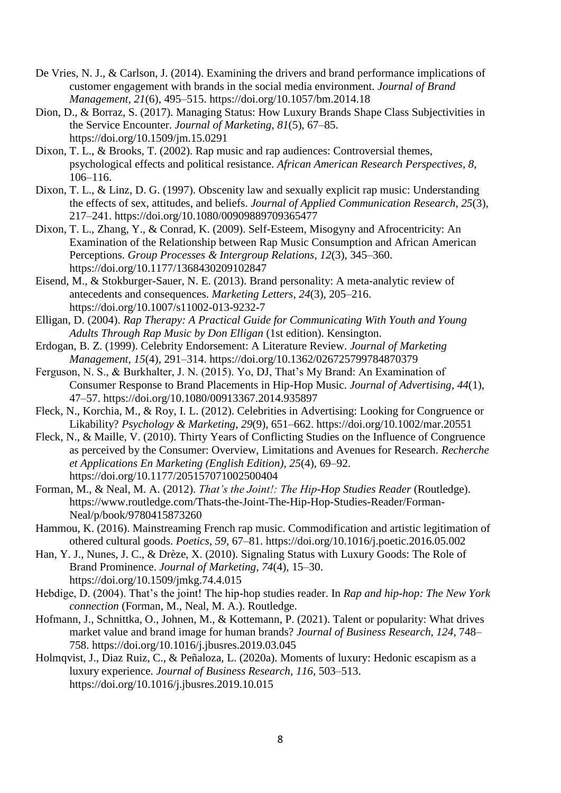- De Vries, N. J., & Carlson, J. (2014). Examining the drivers and brand performance implications of customer engagement with brands in the social media environment. *Journal of Brand Management*, *21*(6), 495–515. https://doi.org/10.1057/bm.2014.18
- Dion, D., & Borraz, S. (2017). Managing Status: How Luxury Brands Shape Class Subjectivities in the Service Encounter. *Journal of Marketing*, *81*(5), 67–85. https://doi.org/10.1509/jm.15.0291
- Dixon, T. L., & Brooks, T. (2002). Rap music and rap audiences: Controversial themes, psychological effects and political resistance. *African American Research Perspectives*, *8*, 106–116.
- Dixon, T. L., & Linz, D. G. (1997). Obscenity law and sexually explicit rap music: Understanding the effects of sex, attitudes, and beliefs. *Journal of Applied Communication Research*, *25*(3), 217–241. https://doi.org/10.1080/00909889709365477
- Dixon, T. L., Zhang, Y., & Conrad, K. (2009). Self-Esteem, Misogyny and Afrocentricity: An Examination of the Relationship between Rap Music Consumption and African American Perceptions. *Group Processes & Intergroup Relations*, *12*(3), 345–360. https://doi.org/10.1177/1368430209102847
- Eisend, M., & Stokburger-Sauer, N. E. (2013). Brand personality: A meta-analytic review of antecedents and consequences. *Marketing Letters*, *24*(3), 205–216. https://doi.org/10.1007/s11002-013-9232-7
- Elligan, D. (2004). *Rap Therapy: A Practical Guide for Communicating With Youth and Young Adults Through Rap Music by Don Elligan* (1st edition). Kensington.
- Erdogan, B. Z. (1999). Celebrity Endorsement: A Literature Review. *Journal of Marketing Management*, *15*(4), 291–314. https://doi.org/10.1362/026725799784870379
- Ferguson, N. S., & Burkhalter, J. N. (2015). Yo, DJ, That's My Brand: An Examination of Consumer Response to Brand Placements in Hip-Hop Music. *Journal of Advertising*, *44*(1), 47–57. https://doi.org/10.1080/00913367.2014.935897
- Fleck, N., Korchia, M., & Roy, I. L. (2012). Celebrities in Advertising: Looking for Congruence or Likability? *Psychology & Marketing*, *29*(9), 651–662. https://doi.org/10.1002/mar.20551
- Fleck, N., & Maille, V. (2010). Thirty Years of Conflicting Studies on the Influence of Congruence as perceived by the Consumer: Overview, Limitations and Avenues for Research. *Recherche et Applications En Marketing (English Edition)*, *25*(4), 69–92. https://doi.org/10.1177/205157071002500404
- Forman, M., & Neal, M. A. (2012). *That's the Joint!: The Hip-Hop Studies Reader* (Routledge). https://www.routledge.com/Thats-the-Joint-The-Hip-Hop-Studies-Reader/Forman-Neal/p/book/9780415873260
- Hammou, K. (2016). Mainstreaming French rap music. Commodification and artistic legitimation of othered cultural goods. *Poetics*, *59*, 67–81. https://doi.org/10.1016/j.poetic.2016.05.002
- Han, Y. J., Nunes, J. C., & Drèze, X. (2010). Signaling Status with Luxury Goods: The Role of Brand Prominence. *Journal of Marketing*, *74*(4), 15–30. https://doi.org/10.1509/jmkg.74.4.015
- Hebdige, D. (2004). That's the joint! The hip-hop studies reader. In *Rap and hip-hop: The New York connection* (Forman, M., Neal, M. A.). Routledge.
- Hofmann, J., Schnittka, O., Johnen, M., & Kottemann, P. (2021). Talent or popularity: What drives market value and brand image for human brands? *Journal of Business Research*, *124*, 748– 758. https://doi.org/10.1016/j.jbusres.2019.03.045
- Holmqvist, J., Diaz Ruiz, C., & Peñaloza, L. (2020a). Moments of luxury: Hedonic escapism as a luxury experience. *Journal of Business Research*, *116*, 503–513. https://doi.org/10.1016/j.jbusres.2019.10.015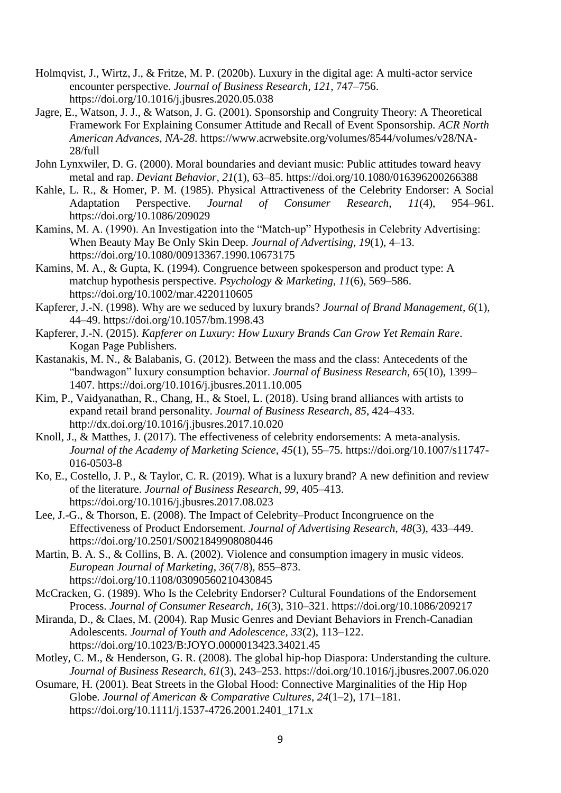- Holmqvist, J., Wirtz, J., & Fritze, M. P. (2020b). Luxury in the digital age: A multi-actor service encounter perspective. *Journal of Business Research*, *121*, 747–756. https://doi.org/10.1016/j.jbusres.2020.05.038
- Jagre, E., Watson, J. J., & Watson, J. G. (2001). Sponsorship and Congruity Theory: A Theoretical Framework For Explaining Consumer Attitude and Recall of Event Sponsorship. *ACR North American Advances*, *NA-28*. https://www.acrwebsite.org/volumes/8544/volumes/v28/NA-28/full
- John Lynxwiler, D. G. (2000). Moral boundaries and deviant music: Public attitudes toward heavy metal and rap. *Deviant Behavior*, *21*(1), 63–85. https://doi.org/10.1080/016396200266388
- Kahle, L. R., & Homer, P. M. (1985). Physical Attractiveness of the Celebrity Endorser: A Social Adaptation Perspective. *Journal of Consumer Research*, *11*(4), 954–961. https://doi.org/10.1086/209029
- Kamins, M. A. (1990). An Investigation into the "Match-up" Hypothesis in Celebrity Advertising: When Beauty May Be Only Skin Deep. *Journal of Advertising*, *19*(1), 4–13. https://doi.org/10.1080/00913367.1990.10673175
- Kamins, M. A., & Gupta, K. (1994). Congruence between spokesperson and product type: A matchup hypothesis perspective. *Psychology & Marketing*, *11*(6), 569–586. https://doi.org/10.1002/mar.4220110605
- Kapferer, J.-N. (1998). Why are we seduced by luxury brands? *Journal of Brand Management*, *6*(1), 44–49. https://doi.org/10.1057/bm.1998.43
- Kapferer, J.-N. (2015). *Kapferer on Luxury: How Luxury Brands Can Grow Yet Remain Rare*. Kogan Page Publishers.
- Kastanakis, M. N., & Balabanis, G. (2012). Between the mass and the class: Antecedents of the "bandwagon" luxury consumption behavior. *Journal of Business Research*, *65*(10), 1399– 1407. https://doi.org/10.1016/j.jbusres.2011.10.005
- Kim, P., Vaidyanathan, R., Chang, H., & Stoel, L. (2018). Using brand alliances with artists to expand retail brand personality. *Journal of Business Research*, *85*, 424–433. http://dx.doi.org/10.1016/j.jbusres.2017.10.020
- Knoll, J., & Matthes, J. (2017). The effectiveness of celebrity endorsements: A meta-analysis. *Journal of the Academy of Marketing Science*, *45*(1), 55–75. https://doi.org/10.1007/s11747- 016-0503-8
- Ko, E., Costello, J. P., & Taylor, C. R. (2019). What is a luxury brand? A new definition and review of the literature. *Journal of Business Research*, *99*, 405–413. https://doi.org/10.1016/j.jbusres.2017.08.023
- Lee, J.-G., & Thorson, E. (2008). The Impact of Celebrity–Product Incongruence on the Effectiveness of Product Endorsement. *Journal of Advertising Research*, *48*(3), 433–449. https://doi.org/10.2501/S0021849908080446
- Martin, B. A. S., & Collins, B. A. (2002). Violence and consumption imagery in music videos. *European Journal of Marketing*, *36*(7/8), 855–873. https://doi.org/10.1108/03090560210430845
- McCracken, G. (1989). Who Is the Celebrity Endorser? Cultural Foundations of the Endorsement Process. *Journal of Consumer Research*, *16*(3), 310–321. https://doi.org/10.1086/209217
- Miranda, D., & Claes, M. (2004). Rap Music Genres and Deviant Behaviors in French-Canadian Adolescents. *Journal of Youth and Adolescence*, *33*(2), 113–122. https://doi.org/10.1023/B:JOYO.0000013423.34021.45
- Motley, C. M., & Henderson, G. R. (2008). The global hip-hop Diaspora: Understanding the culture. *Journal of Business Research*, *61*(3), 243–253. https://doi.org/10.1016/j.jbusres.2007.06.020
- Osumare, H. (2001). Beat Streets in the Global Hood: Connective Marginalities of the Hip Hop Globe. *Journal of American & Comparative Cultures*, *24*(1–2), 171–181. https://doi.org/10.1111/j.1537-4726.2001.2401\_171.x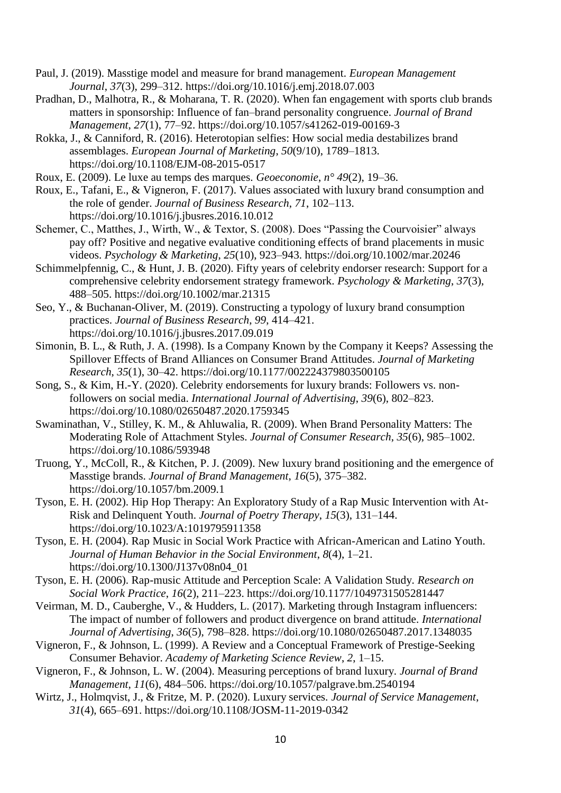- Paul, J. (2019). Masstige model and measure for brand management. *European Management Journal*, *37*(3), 299–312. https://doi.org/10.1016/j.emj.2018.07.003
- Pradhan, D., Malhotra, R., & Moharana, T. R. (2020). When fan engagement with sports club brands matters in sponsorship: Influence of fan–brand personality congruence. *Journal of Brand Management*, *27*(1), 77–92. https://doi.org/10.1057/s41262-019-00169-3
- Rokka, J., & Canniford, R. (2016). Heterotopian selfies: How social media destabilizes brand assemblages. *European Journal of Marketing*, *50*(9/10), 1789–1813. https://doi.org/10.1108/EJM-08-2015-0517
- Roux, E. (2009). Le luxe au temps des marques. *Geoeconomie*, *n° 49*(2), 19–36.
- Roux, E., Tafani, E., & Vigneron, F. (2017). Values associated with luxury brand consumption and the role of gender. *Journal of Business Research*, *71*, 102–113. https://doi.org/10.1016/j.jbusres.2016.10.012
- Schemer, C., Matthes, J., Wirth, W., & Textor, S. (2008). Does "Passing the Courvoisier" always pay off? Positive and negative evaluative conditioning effects of brand placements in music videos. *Psychology & Marketing*, *25*(10), 923–943. https://doi.org/10.1002/mar.20246
- Schimmelpfennig, C., & Hunt, J. B. (2020). Fifty years of celebrity endorser research: Support for a comprehensive celebrity endorsement strategy framework. *Psychology & Marketing*, *37*(3), 488–505. https://doi.org/10.1002/mar.21315
- Seo, Y., & Buchanan-Oliver, M. (2019). Constructing a typology of luxury brand consumption practices. *Journal of Business Research*, *99*, 414–421. https://doi.org/10.1016/j.jbusres.2017.09.019
- Simonin, B. L., & Ruth, J. A. (1998). Is a Company Known by the Company it Keeps? Assessing the Spillover Effects of Brand Alliances on Consumer Brand Attitudes. *Journal of Marketing Research*, *35*(1), 30–42. https://doi.org/10.1177/002224379803500105
- Song, S., & Kim, H.-Y. (2020). Celebrity endorsements for luxury brands: Followers vs. nonfollowers on social media. *International Journal of Advertising*, *39*(6), 802–823. https://doi.org/10.1080/02650487.2020.1759345
- Swaminathan, V., Stilley, K. M., & Ahluwalia, R. (2009). When Brand Personality Matters: The Moderating Role of Attachment Styles. *Journal of Consumer Research*, *35*(6), 985–1002. https://doi.org/10.1086/593948
- Truong, Y., McColl, R., & Kitchen, P. J. (2009). New luxury brand positioning and the emergence of Masstige brands. *Journal of Brand Management*, *16*(5), 375–382. https://doi.org/10.1057/bm.2009.1
- Tyson, E. H. (2002). Hip Hop Therapy: An Exploratory Study of a Rap Music Intervention with At-Risk and Delinquent Youth. *Journal of Poetry Therapy*, *15*(3), 131–144. https://doi.org/10.1023/A:1019795911358
- Tyson, E. H. (2004). Rap Music in Social Work Practice with African-American and Latino Youth. *Journal of Human Behavior in the Social Environment*, *8*(4), 1–21. https://doi.org/10.1300/J137v08n04\_01
- Tyson, E. H. (2006). Rap-music Attitude and Perception Scale: A Validation Study. *Research on Social Work Practice*, *16*(2), 211–223. https://doi.org/10.1177/1049731505281447
- Veirman, M. D., Cauberghe, V., & Hudders, L. (2017). Marketing through Instagram influencers: The impact of number of followers and product divergence on brand attitude. *International Journal of Advertising*, *36*(5), 798–828. https://doi.org/10.1080/02650487.2017.1348035
- Vigneron, F., & Johnson, L. (1999). A Review and a Conceptual Framework of Prestige-Seeking Consumer Behavior. *Academy of Marketing Science Review*, *2*, 1–15.
- Vigneron, F., & Johnson, L. W. (2004). Measuring perceptions of brand luxury. *Journal of Brand Management*, *11*(6), 484–506. https://doi.org/10.1057/palgrave.bm.2540194
- Wirtz, J., Holmqvist, J., & Fritze, M. P. (2020). Luxury services. *Journal of Service Management*, *31*(4), 665–691. https://doi.org/10.1108/JOSM-11-2019-0342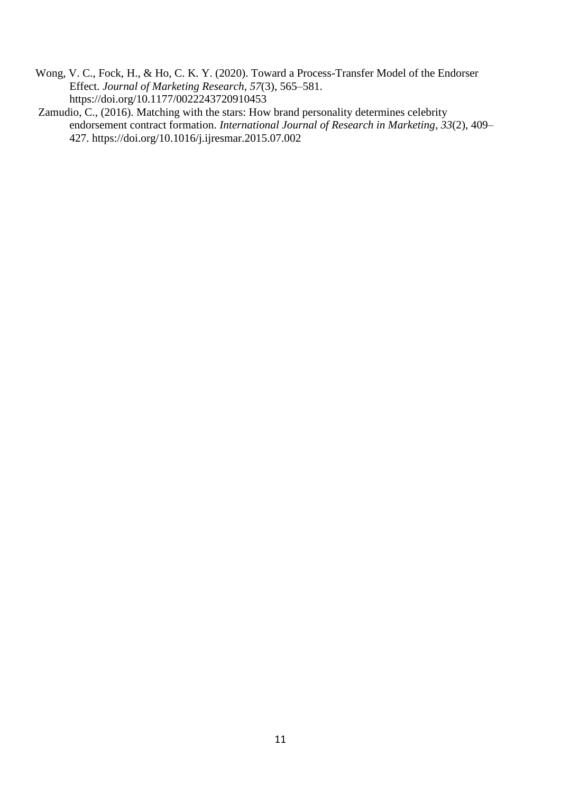- Wong, V. C., Fock, H., & Ho, C. K. Y. (2020). Toward a Process-Transfer Model of the Endorser Effect. *Journal of Marketing Research*, *57*(3), 565–581. https://doi.org/10.1177/0022243720910453
- Zamudio, C., (2016). Matching with the stars: How brand personality determines celebrity endorsement contract formation. *International Journal of Research in Marketing*, *33*(2), 409– 427. https://doi.org/10.1016/j.ijresmar.2015.07.002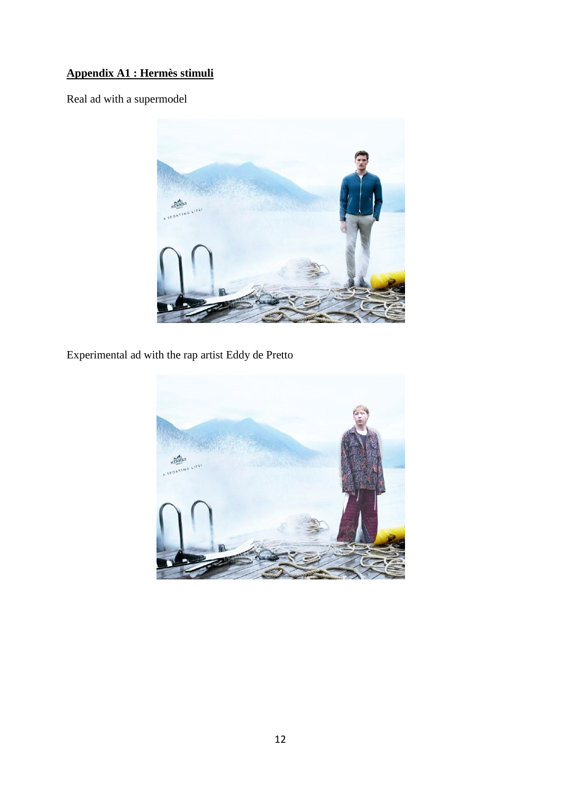# **Appendix A1 : Hermès stimuli**

Real ad with a supermodel



Experimental ad with the rap artist Eddy de Pretto

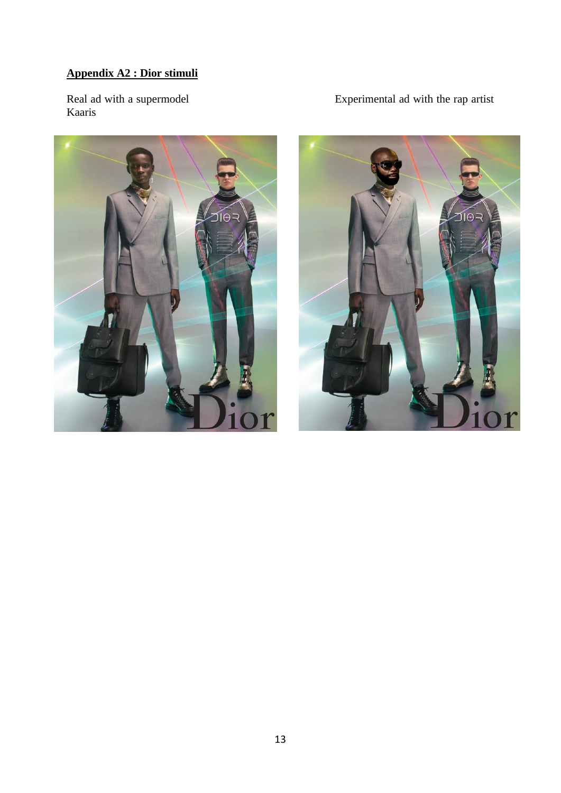# **Appendix A2 : Dior stimuli**

Real ad with a supermodel<br>Kaaris



# Experimental ad with the rap artist